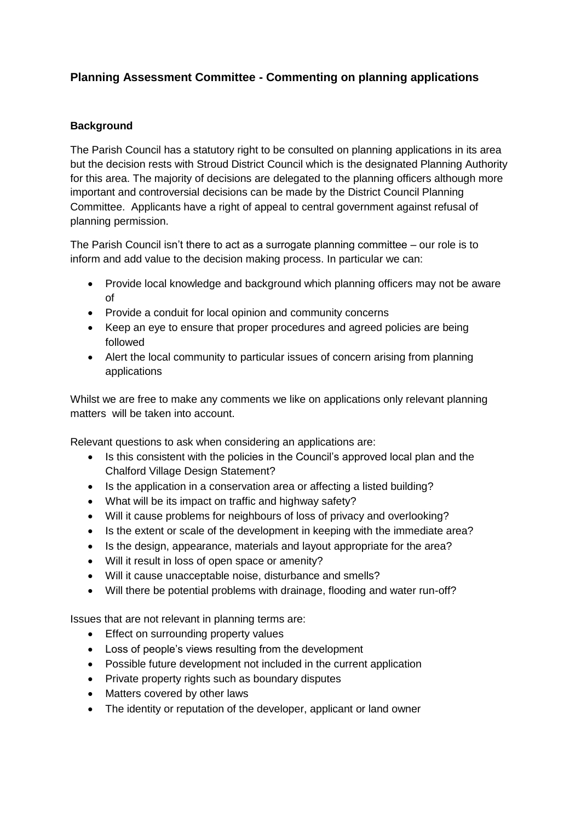## **Planning Assessment Committee - Commenting on planning applications**

## **Background**

The Parish Council has a statutory right to be consulted on planning applications in its area but the decision rests with Stroud District Council which is the designated Planning Authority for this area. The majority of decisions are delegated to the planning officers although more important and controversial decisions can be made by the District Council Planning Committee. Applicants have a right of appeal to central government against refusal of planning permission.

The Parish Council isn't there to act as a surrogate planning committee – our role is to inform and add value to the decision making process. In particular we can:

- Provide local knowledge and background which planning officers may not be aware of
- Provide a conduit for local opinion and community concerns
- Keep an eye to ensure that proper procedures and agreed policies are being followed
- Alert the local community to particular issues of concern arising from planning applications

Whilst we are free to make any comments we like on applications only relevant planning matters will be taken into account.

Relevant questions to ask when considering an applications are:

- Is this consistent with the policies in the Council's approved local plan and the Chalford Village Design Statement?
- Is the application in a conservation area or affecting a listed building?
- What will be its impact on traffic and highway safety?
- Will it cause problems for neighbours of loss of privacy and overlooking?
- Is the extent or scale of the development in keeping with the immediate area?
- Is the design, appearance, materials and layout appropriate for the area?
- Will it result in loss of open space or amenity?
- Will it cause unacceptable noise, disturbance and smells?
- Will there be potential problems with drainage, flooding and water run-off?

Issues that are not relevant in planning terms are:

- Effect on surrounding property values
- Loss of people's views resulting from the development
- Possible future development not included in the current application
- Private property rights such as boundary disputes
- Matters covered by other laws
- The identity or reputation of the developer, applicant or land owner